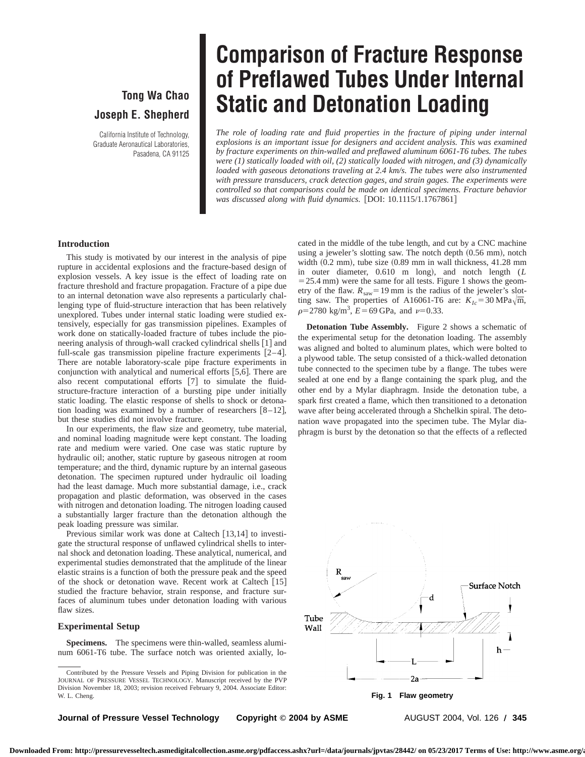## **Tong Wa Chao Joseph E. Shepherd**

California Institute of Technology, Graduate Aeronautical Laboratories, Pasadena, CA 91125

# **Comparison of Fracture Response of Preflawed Tubes Under Internal Static and Detonation Loading**

*The role of loading rate and fluid properties in the fracture of piping under internal explosions is an important issue for designers and accident analysis. This was examined by fracture experiments on thin-walled and preflawed aluminum 6061-T6 tubes. The tubes were (1) statically loaded with oil, (2) statically loaded with nitrogen, and (3) dynamically loaded with gaseous detonations traveling at 2.4 km/s. The tubes were also instrumented with pressure transducers, crack detection gages, and strain gages. The experiments were controlled so that comparisons could be made on identical specimens. Fracture behavior* was discussed along with fluid dynamics. [DOI: 10.1115/1.1767861]

#### **Introduction**

This study is motivated by our interest in the analysis of pipe rupture in accidental explosions and the fracture-based design of explosion vessels. A key issue is the effect of loading rate on fracture threshold and fracture propagation. Fracture of a pipe due to an internal detonation wave also represents a particularly challenging type of fluid-structure interaction that has been relatively unexplored. Tubes under internal static loading were studied extensively, especially for gas transmission pipelines. Examples of work done on statically-loaded fracture of tubes include the pioneering analysis of through-wall cracked cylindrical shells  $\lceil 1 \rceil$  and full-scale gas transmission pipeline fracture experiments  $[2-4]$ . There are notable laboratory-scale pipe fracture experiments in conjunction with analytical and numerical efforts  $[5,6]$ . There are also recent computational efforts  $[7]$  to simulate the fluidstructure-fracture interaction of a bursting pipe under initially static loading. The elastic response of shells to shock or detonation loading was examined by a number of researchers  $[8-12]$ , but these studies did not involve fracture.

In our experiments, the flaw size and geometry, tube material, and nominal loading magnitude were kept constant. The loading rate and medium were varied. One case was static rupture by hydraulic oil; another, static rupture by gaseous nitrogen at room temperature; and the third, dynamic rupture by an internal gaseous detonation. The specimen ruptured under hydraulic oil loading had the least damage. Much more substantial damage, i.e., crack propagation and plastic deformation, was observed in the cases with nitrogen and detonation loading. The nitrogen loading caused a substantially larger fracture than the detonation although the peak loading pressure was similar.

Previous similar work was done at Caltech  $[13,14]$  to investigate the structural response of unflawed cylindrical shells to internal shock and detonation loading. These analytical, numerical, and experimental studies demonstrated that the amplitude of the linear elastic strains is a function of both the pressure peak and the speed of the shock or detonation wave. Recent work at Caltech  $[15]$ studied the fracture behavior, strain response, and fracture surfaces of aluminum tubes under detonation loading with various flaw sizes.

#### **Experimental Setup**

**Specimens.** The specimens were thin-walled, seamless aluminum 6061-T6 tube. The surface notch was oriented axially, lo-

cated in the middle of the tube length, and cut by a CNC machine using a jeweler's slotting saw. The notch depth (0.56 mm), notch width  $(0.2$  mm), tube size  $(0.89$  mm in wall thickness, 41.28 mm in outer diameter, 0.610 m long), and notch length (*L*  $=$  25.4 mm) were the same for all tests. Figure 1 shows the geometry of the flaw.  $R_{\text{saw}} = 19 \text{ mm}$  is the radius of the jeweler's slotting saw. The properties of A16061-T6 are:  $K_{Ic} = 30 \text{ MPa}\sqrt{\text{m}}$ ,  $\rho$ =2780 kg/m<sup>3</sup>,  $E$ =69 GPa, and  $\nu$ =0.33.

**Detonation Tube Assembly.** Figure 2 shows a schematic of the experimental setup for the detonation loading. The assembly was aligned and bolted to aluminum plates, which were bolted to a plywood table. The setup consisted of a thick-walled detonation tube connected to the specimen tube by a flange. The tubes were sealed at one end by a flange containing the spark plug, and the other end by a Mylar diaphragm. Inside the detonation tube, a spark first created a flame, which then transitioned to a detonation wave after being accelerated through a Shchelkin spiral. The detonation wave propagated into the specimen tube. The Mylar diaphragm is burst by the detonation so that the effects of a reflected



**Journal of Pressure Vessel Technology Copyright © 2004 by ASME AUGUST 2004, Vol. 126 / 345** 

Contributed by the Pressure Vessels and Piping Division for publication in the JOURNAL OF PRESSURE VESSEL TECHNOLOGY. Manuscript received by the PVP Division November 18, 2003; revision received February 9, 2004. Associate Editor: W. L. Cheng. **Fig. 1 Flaw geometry**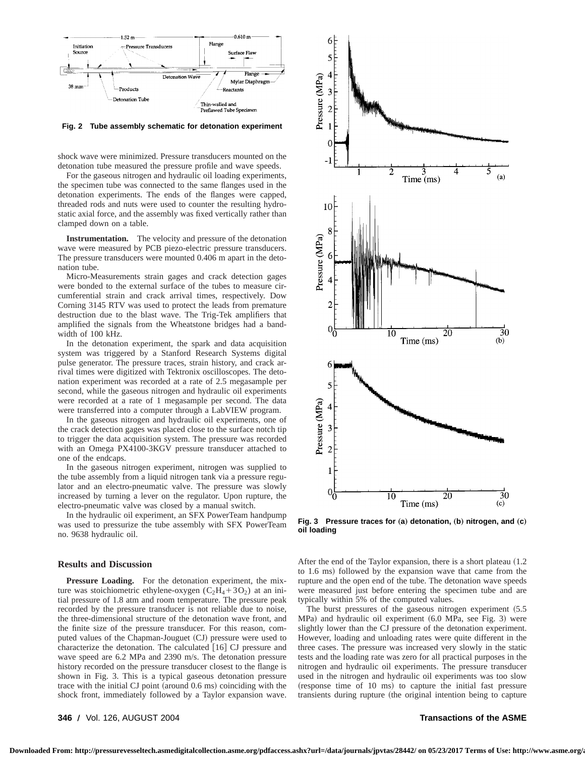

**Fig. 2 Tube assembly schematic for detonation experiment**

shock wave were minimized. Pressure transducers mounted on the detonation tube measured the pressure profile and wave speeds.

For the gaseous nitrogen and hydraulic oil loading experiments, the specimen tube was connected to the same flanges used in the detonation experiments. The ends of the flanges were capped, threaded rods and nuts were used to counter the resulting hydrostatic axial force, and the assembly was fixed vertically rather than clamped down on a table.

**Instrumentation.** The velocity and pressure of the detonation wave were measured by PCB piezo-electric pressure transducers. The pressure transducers were mounted 0.406 m apart in the detonation tube.

Micro-Measurements strain gages and crack detection gages were bonded to the external surface of the tubes to measure circumferential strain and crack arrival times, respectively. Dow Corning 3145 RTV was used to protect the leads from premature destruction due to the blast wave. The Trig-Tek amplifiers that amplified the signals from the Wheatstone bridges had a bandwidth of 100 kHz.

In the detonation experiment, the spark and data acquisition system was triggered by a Stanford Research Systems digital pulse generator. The pressure traces, strain history, and crack arrival times were digitized with Tektronix oscilloscopes. The detonation experiment was recorded at a rate of 2.5 megasample per second, while the gaseous nitrogen and hydraulic oil experiments were recorded at a rate of 1 megasample per second. The data were transferred into a computer through a LabVIEW program.

In the gaseous nitrogen and hydraulic oil experiments, one of the crack detection gages was placed close to the surface notch tip to trigger the data acquisition system. The pressure was recorded with an Omega PX4100-3KGV pressure transducer attached to one of the endcaps.

In the gaseous nitrogen experiment, nitrogen was supplied to the tube assembly from a liquid nitrogen tank via a pressure regulator and an electro-pneumatic valve. The pressure was slowly increased by turning a lever on the regulator. Upon rupture, the electro-pneumatic valve was closed by a manual switch.

In the hydraulic oil experiment, an SFX PowerTeam handpump was used to pressurize the tube assembly with SFX PowerTeam no. 9638 hydraulic oil.

#### **Results and Discussion**

**Pressure Loading.** For the detonation experiment, the mixture was stoichiometric ethylene-oxygen  $(C_2H_4+3O_2)$  at an initial pressure of 1.8 atm and room temperature. The pressure peak recorded by the pressure transducer is not reliable due to noise, the three-dimensional structure of the detonation wave front, and the finite size of the pressure transducer. For this reason, computed values of the Chapman-Jouguet (CJ) pressure were used to characterize the detonation. The calculated  $[16]$  CJ pressure and wave speed are 6.2 MPa and 2390 m/s. The detonation pressure history recorded on the pressure transducer closest to the flange is shown in Fig. 3. This is a typical gaseous detonation pressure trace with the initial CJ point (around  $0.6$  ms) coinciding with the shock front, immediately followed by a Taylor expansion wave.



**Fig. 3** Pressure traces for (a) detonation, (b) nitrogen, and (c) **oil loading**

After the end of the Taylor expansion, there is a short plateau  $(1.2)$ to 1.6 ms) followed by the expansion wave that came from the rupture and the open end of the tube. The detonation wave speeds were measured just before entering the specimen tube and are typically within 5% of the computed values.

The burst pressures of the gaseous nitrogen experiment  $(5.5$  $MPa)$  and hydraulic oil experiment  $(6.0 \text{ MPa}, \text{see Fig. 3})$  were slightly lower than the CJ pressure of the detonation experiment. However, loading and unloading rates were quite different in the three cases. The pressure was increased very slowly in the static tests and the loading rate was zero for all practical purposes in the nitrogen and hydraulic oil experiments. The pressure transducer used in the nitrogen and hydraulic oil experiments was too slow  $(r_{\text{ex్}})$  (response time of 10 ms) to capture the initial fast pressure transients during rupture (the original intention being to capture

**346 Õ** Vol. 126, AUGUST 2004 **Transactions of the ASME**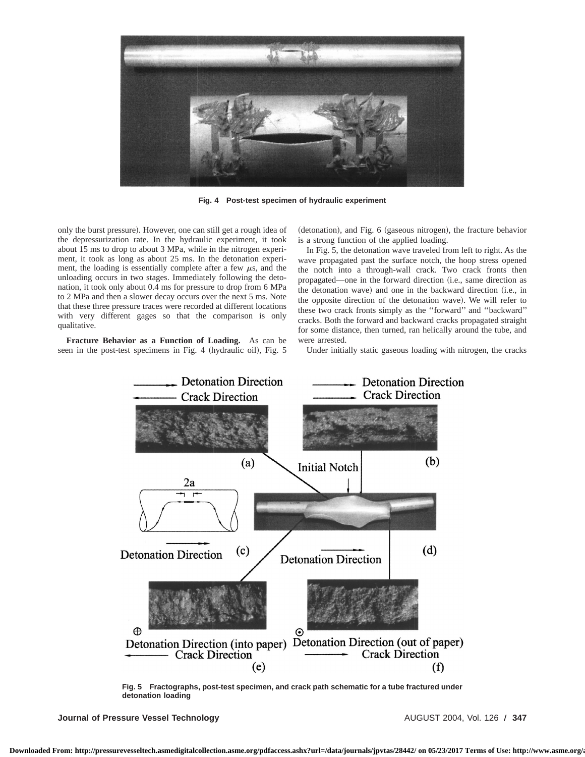

**Fig. 4 Post-test specimen of hydraulic experiment**

only the burst pressure). However, one can still get a rough idea of the depressurization rate. In the hydraulic experiment, it took about 15 ms to drop to about 3 MPa, while in the nitrogen experiment, it took as long as about 25 ms. In the detonation experiment, the loading is essentially complete after a few  $\mu$ s, and the unloading occurs in two stages. Immediately following the detonation, it took only about 0.4 ms for pressure to drop from 6 MPa to 2 MPa and then a slower decay occurs over the next 5 ms. Note that these three pressure traces were recorded at different locations with very different gages so that the comparison is only qualitative.

**Fracture Behavior as a Function of Loading.** As can be seen in the post-test specimens in Fig. 4 (hydraulic oil), Fig. 5 (detonation), and Fig. 6 (gaseous nitrogen), the fracture behavior is a strong function of the applied loading.

In Fig. 5, the detonation wave traveled from left to right. As the wave propagated past the surface notch, the hoop stress opened the notch into a through-wall crack. Two crack fronts then propagated—one in the forward direction (i.e., same direction as the detonation wave) and one in the backward direction (i.e., in the opposite direction of the detonation wave). We will refer to these two crack fronts simply as the ''forward'' and ''backward'' cracks. Both the forward and backward cracks propagated straight for some distance, then turned, ran helically around the tube, and were arrested.

Under initially static gaseous loading with nitrogen, the cracks



**Fig. 5 Fractographs, post-test specimen, and crack path schematic for a tube fractured under detonation loading**

**Journal of Pressure Vessel Technology AUGUST 2004, Vol. 126 / 347**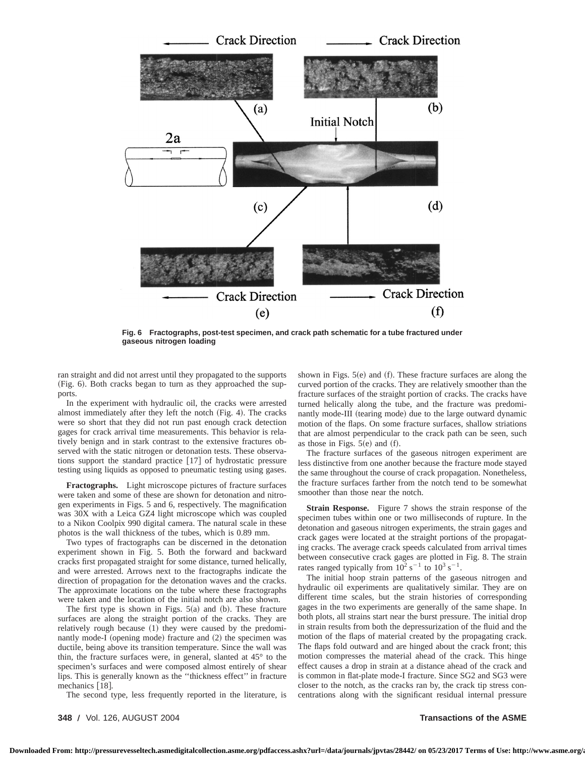

**Fig. 6 Fractographs, post-test specimen, and crack path schematic for a tube fractured under gaseous nitrogen loading**

ran straight and did not arrest until they propagated to the supports (Fig. 6). Both cracks began to turn as they approached the supports.

In the experiment with hydraulic oil, the cracks were arrested almost immediately after they left the notch  $(Fig. 4)$ . The cracks were so short that they did not run past enough crack detection gages for crack arrival time measurements. This behavior is relatively benign and in stark contrast to the extensive fractures observed with the static nitrogen or detonation tests. These observations support the standard practice  $\lceil 17 \rceil$  of hydrostatic pressure testing using liquids as opposed to pneumatic testing using gases.

**Fractographs.** Light microscope pictures of fracture surfaces were taken and some of these are shown for detonation and nitrogen experiments in Figs. 5 and 6, respectively. The magnification was 30X with a Leica GZ4 light microscope which was coupled to a Nikon Coolpix 990 digital camera. The natural scale in these photos is the wall thickness of the tubes, which is 0.89 mm.

Two types of fractographs can be discerned in the detonation experiment shown in Fig. 5. Both the forward and backward cracks first propagated straight for some distance, turned helically, and were arrested. Arrows next to the fractographs indicate the direction of propagation for the detonation waves and the cracks. The approximate locations on the tube where these fractographs were taken and the location of the initial notch are also shown.

The first type is shown in Figs.  $5(a)$  and  $(b)$ . These fracture surfaces are along the straight portion of the cracks. They are relatively rough because  $(1)$  they were caused by the predominantly mode-I (opening mode) fracture and (2) the specimen was ductile, being above its transition temperature. Since the wall was thin, the fracture surfaces were, in general, slanted at 45° to the specimen's surfaces and were composed almost entirely of shear lips. This is generally known as the ''thickness effect'' in fracture mechanics  $[18]$ .

The second type, less frequently reported in the literature, is

shown in Figs.  $5(e)$  and (f). These fracture surfaces are along the curved portion of the cracks. They are relatively smoother than the fracture surfaces of the straight portion of cracks. The cracks have turned helically along the tube, and the fracture was predominantly mode-III (tearing mode) due to the large outward dynamic motion of the flaps. On some fracture surfaces, shallow striations that are almost perpendicular to the crack path can be seen, such as those in Figs.  $5(e)$  and  $(f)$ .

The fracture surfaces of the gaseous nitrogen experiment are less distinctive from one another because the fracture mode stayed the same throughout the course of crack propagation. Nonetheless, the fracture surfaces farther from the notch tend to be somewhat smoother than those near the notch.

**Strain Response.** Figure 7 shows the strain response of the specimen tubes within one or two milliseconds of rupture. In the detonation and gaseous nitrogen experiments, the strain gages and crack gages were located at the straight portions of the propagating cracks. The average crack speeds calculated from arrival times between consecutive crack gages are plotted in Fig. 8. The strain rates ranged typically from  $10^2 s^{-1}$  to  $10^3 s^{-1}$ .

The initial hoop strain patterns of the gaseous nitrogen and hydraulic oil experiments are qualitatively similar. They are on different time scales, but the strain histories of corresponding gages in the two experiments are generally of the same shape. In both plots, all strains start near the burst pressure. The initial drop in strain results from both the depressurization of the fluid and the motion of the flaps of material created by the propagating crack. The flaps fold outward and are hinged about the crack front; this motion compresses the material ahead of the crack. This hinge effect causes a drop in strain at a distance ahead of the crack and is common in flat-plate mode-I fracture. Since SG2 and SG3 were closer to the notch, as the cracks ran by, the crack tip stress concentrations along with the significant residual internal pressure

**348 Õ** Vol. 126, AUGUST 2004 **Transactions of the ASME**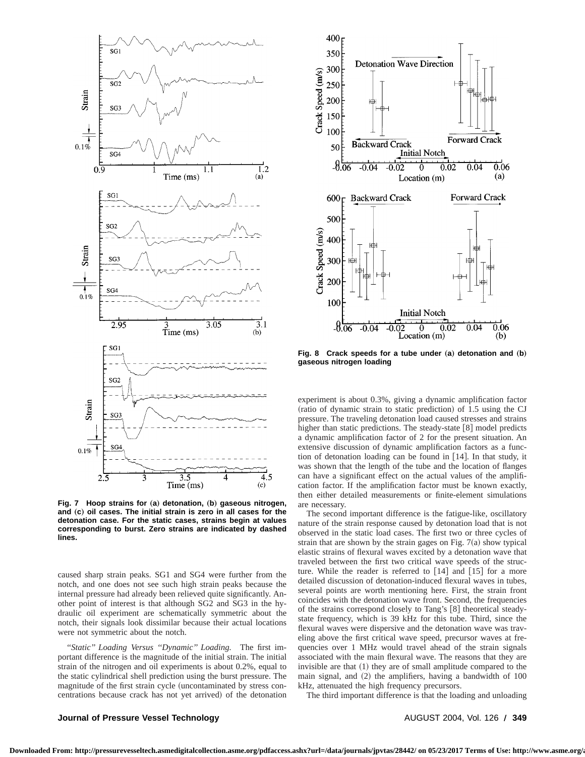

**Fig. 7** Hoop strains for (a) detonation, (b) gaseous nitrogen, and (c) oil cases. The initial strain is zero in all cases for the **detonation case. For the static cases, strains begin at values corresponding to burst. Zero strains are indicated by dashed lines.**

caused sharp strain peaks. SG1 and SG4 were further from the notch, and one does not see such high strain peaks because the internal pressure had already been relieved quite significantly. Another point of interest is that although SG2 and SG3 in the hydraulic oil experiment are schematically symmetric about the notch, their signals look dissimilar because their actual locations were not symmetric about the notch.

*''Static'' Loading Versus ''Dynamic'' Loading.* The first important difference is the magnitude of the initial strain. The initial strain of the nitrogen and oil experiments is about 0.2%, equal to the static cylindrical shell prediction using the burst pressure. The magnitude of the first strain cycle (uncontaminated by stress concentrations because crack has not yet arrived) of the detonation



**Fig. 8** Crack speeds for a tube under (a) detonation and (b) **gaseous nitrogen loading**

experiment is about 0.3%, giving a dynamic amplification factor (ratio of dynamic strain to static prediction) of 1.5 using the CJ pressure. The traveling detonation load caused stresses and strains higher than static predictions. The steady-state  $[8]$  model predicts a dynamic amplification factor of 2 for the present situation. An extensive discussion of dynamic amplification factors as a function of detonation loading can be found in  $[14]$ . In that study, it was shown that the length of the tube and the location of flanges can have a significant effect on the actual values of the amplification factor. If the amplification factor must be known exactly, then either detailed measurements or finite-element simulations are necessary.

The second important difference is the fatigue-like, oscillatory nature of the strain response caused by detonation load that is not observed in the static load cases. The first two or three cycles of strain that are shown by the strain gages on Fig.  $7(a)$  show typical elastic strains of flexural waves excited by a detonation wave that traveled between the first two critical wave speeds of the structure. While the reader is referred to  $[14]$  and  $[15]$  for a more detailed discussion of detonation-induced flexural waves in tubes, several points are worth mentioning here. First, the strain front coincides with the detonation wave front. Second, the frequencies of the strains correspond closely to Tang's  $[8]$  theoretical steadystate frequency, which is 39 kHz for this tube. Third, since the flexural waves were dispersive and the detonation wave was traveling above the first critical wave speed, precursor waves at frequencies over 1 MHz would travel ahead of the strain signals associated with the main flexural wave. The reasons that they are invisible are that  $(1)$  they are of small amplitude compared to the main signal, and  $(2)$  the amplifiers, having a bandwidth of  $100$ kHz, attenuated the high frequency precursors.

The third important difference is that the loading and unloading

### **Journal of Pressure Vessel Technology AUGUST 2004, Vol. 126 / 349**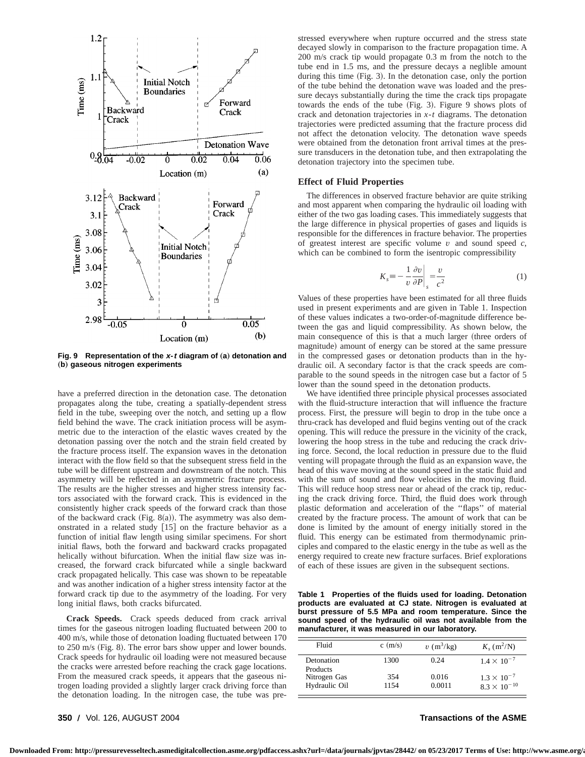

**Fig. 9** Representation of the x-t diagram of (a) detonation and (b) gaseous nitrogen experiments

have a preferred direction in the detonation case. The detonation propagates along the tube, creating a spatially-dependent stress field in the tube, sweeping over the notch, and setting up a flow field behind the wave. The crack initiation process will be asymmetric due to the interaction of the elastic waves created by the detonation passing over the notch and the strain field created by the fracture process itself. The expansion waves in the detonation interact with the flow field so that the subsequent stress field in the tube will be different upstream and downstream of the notch. This asymmetry will be reflected in an asymmetric fracture process. The results are the higher stresses and higher stress intensity factors associated with the forward crack. This is evidenced in the consistently higher crack speeds of the forward crack than those of the backward crack (Fig. 8(a)). The asymmetry was also demonstrated in a related study  $[15]$  on the fracture behavior as a function of initial flaw length using similar specimens. For short initial flaws, both the forward and backward cracks propagated helically without bifurcation. When the initial flaw size was increased, the forward crack bifurcated while a single backward crack propagated helically. This case was shown to be repeatable and was another indication of a higher stress intensity factor at the forward crack tip due to the asymmetry of the loading. For very long initial flaws, both cracks bifurcated.

**Crack Speeds.** Crack speeds deduced from crack arrival times for the gaseous nitrogen loading fluctuated between 200 to 400 m/s, while those of detonation loading fluctuated between 170 to  $250 \text{ m/s}$  (Fig. 8). The error bars show upper and lower bounds. Crack speeds for hydraulic oil loading were not measured because the cracks were arrested before reaching the crack gage locations. From the measured crack speeds, it appears that the gaseous nitrogen loading provided a slightly larger crack driving force than the detonation loading. In the nitrogen case, the tube was prestressed everywhere when rupture occurred and the stress state decayed slowly in comparison to the fracture propagation time. A 200 m/s crack tip would propagate 0.3 m from the notch to the tube end in 1.5 ms, and the pressure decays a neglible amount during this time  $(Fig. 3)$ . In the detonation case, only the portion of the tube behind the detonation wave was loaded and the pressure decays substantially during the time the crack tips propagate towards the ends of the tube  $(Fig. 3)$ . Figure 9 shows plots of crack and detonation trajectories in *x*-*t* diagrams. The detonation trajectories were predicted assuming that the fracture process did not affect the detonation velocity. The detonation wave speeds were obtained from the detonation front arrival times at the pressure transducers in the detonation tube, and then extrapolating the detonation trajectory into the specimen tube.

#### **Effect of Fluid Properties**

The differences in observed fracture behavior are quite striking and most apparent when comparing the hydraulic oil loading with either of the two gas loading cases. This immediately suggests that the large difference in physical properties of gases and liquids is responsible for the differences in fracture behavior. The properties of greatest interest are specific volume *v* and sound speed *c*, which can be combined to form the isentropic compressibility

$$
K_s \equiv -\frac{1}{v} \frac{\partial v}{\partial P} \bigg|_s = \frac{v}{c^2} \tag{1}
$$

Values of these properties have been estimated for all three fluids used in present experiments and are given in Table 1. Inspection of these values indicates a two-order-of-magnitude difference between the gas and liquid compressibility. As shown below, the main consequence of this is that a much larger (three orders of magnitude) amount of energy can be stored at the same pressure in the compressed gases or detonation products than in the hydraulic oil. A secondary factor is that the crack speeds are comparable to the sound speeds in the nitrogen case but a factor of 5 lower than the sound speed in the detonation products.

We have identified three principle physical processes associated with the fluid-structure interaction that will influence the fracture process. First, the pressure will begin to drop in the tube once a thru-crack has developed and fluid begins venting out of the crack opening. This will reduce the pressure in the vicinity of the crack, lowering the hoop stress in the tube and reducing the crack driving force. Second, the local reduction in pressure due to the fluid venting will propagate through the fluid as an expansion wave, the head of this wave moving at the sound speed in the static fluid and with the sum of sound and flow velocities in the moving fluid. This will reduce hoop stress near or ahead of the crack tip, reducing the crack driving force. Third, the fluid does work through plastic deformation and acceleration of the ''flaps'' of material created by the fracture process. The amount of work that can be done is limited by the amount of energy initially stored in the fluid. This energy can be estimated from thermodynamic principles and compared to the elastic energy in the tube as well as the energy required to create new fracture surfaces. Brief explorations of each of these issues are given in the subsequent sections.

**Table 1 Properties of the fluids used for loading. Detonation products are evaluated at CJ state. Nitrogen is evaluated at burst pressure of 5.5 MPa and room temperature. Since the sound speed of the hydraulic oil was not available from the manufacturer, it was measured in our laboratory.**

| Fluid                         | $c \text{ (m/s)}$ | $v \, (\text{m}^3/\text{kg})$ | $K_s$ (m <sup>2</sup> /N)                     |
|-------------------------------|-------------------|-------------------------------|-----------------------------------------------|
| Detonation<br><b>Products</b> | 1300              | 0.24                          | $1.4 \times 10^{-7}$                          |
| Nitrogen Gas<br>Hydraulic Oil | 354<br>1154       | 0.016<br>0.0011               | $1.3 \times 10^{-7}$<br>$8.3 \times 10^{-10}$ |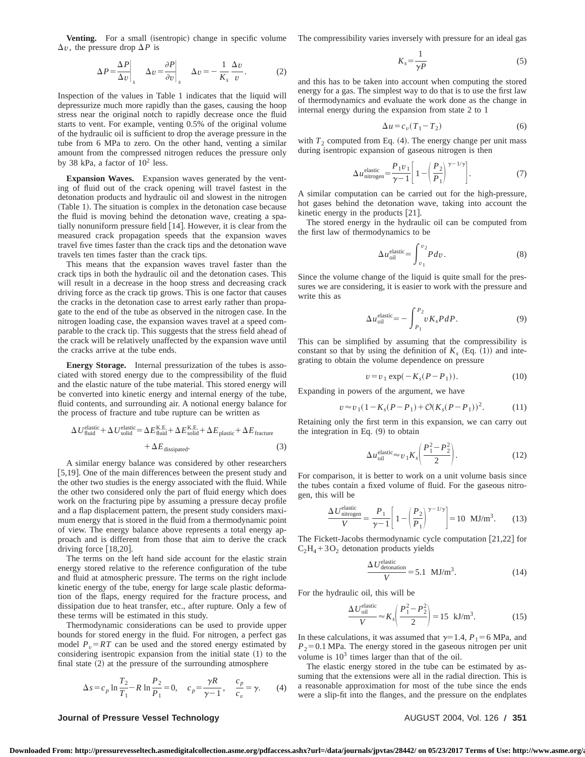**Venting.** For a small (isentropic) change in specific volume  $\Delta v$ , the pressure drop  $\Delta P$  is

$$
\Delta P = \frac{\Delta P}{\Delta v}\bigg|_{s} \quad \Delta v = \frac{\partial P}{\partial v}\bigg|_{s} \quad \Delta v = -\frac{1}{K_{s}}\frac{\Delta v}{v}.
$$
 (2)

Inspection of the values in Table 1 indicates that the liquid will depressurize much more rapidly than the gases, causing the hoop stress near the original notch to rapidly decrease once the fluid starts to vent. For example, venting 0.5% of the original volume of the hydraulic oil is sufficient to drop the average pressure in the tube from 6 MPa to zero. On the other hand, venting a similar amount from the compressed nitrogen reduces the pressure only by 38 kPa, a factor of  $10^2$  less.

**Expansion Waves.** Expansion waves generated by the venting of fluid out of the crack opening will travel fastest in the detonation products and hydraulic oil and slowest in the nitrogen (Table 1). The situation is complex in the detonation case because the fluid is moving behind the detonation wave, creating a spatially nonuniform pressure field  $[14]$ . However, it is clear from the measured crack propagation speeds that the expansion waves travel five times faster than the crack tips and the detonation wave travels ten times faster than the crack tips.

This means that the expansion waves travel faster than the crack tips in both the hydraulic oil and the detonation cases. This will result in a decrease in the hoop stress and decreasing crack driving force as the crack tip grows. This is one factor that causes the cracks in the detonation case to arrest early rather than propagate to the end of the tube as observed in the nitrogen case. In the nitrogen loading case, the expansion waves travel at a speed comparable to the crack tip. This suggests that the stress field ahead of the crack will be relatively unaffected by the expansion wave until the cracks arrive at the tube ends.

**Energy Storage.** Internal pressurization of the tubes is associated with stored energy due to the compressibility of the fluid and the elastic nature of the tube material. This stored energy will be converted into kinetic energy and internal energy of the tube, fluid contents, and surrounding air. A notional energy balance for the process of fracture and tube rupture can be written as

$$
\Delta U_{\text{fluid}}^{\text{elastic}} + \Delta U_{\text{solid}}^{\text{elastic}} = \Delta E_{\text{fluid}}^{\text{KE.}} + \Delta E_{\text{solid}}^{\text{KE.}} + \Delta E_{\text{plastic}} + \Delta E_{\text{fracture}} + \Delta E_{\text{dissigned}}.
$$
\n(3)

A similar energy balance was considered by other researchers [5,19]. One of the main differences between the present study and the other two studies is the energy associated with the fluid. While the other two considered only the part of fluid energy which does work on the fracturing pipe by assuming a pressure decay profile and a flap displacement pattern, the present study considers maximum energy that is stored in the fluid from a thermodynamic point of view. The energy balance above represents a total energy approach and is different from those that aim to derive the crack driving force  $[18,20]$ .

The terms on the left hand side account for the elastic strain energy stored relative to the reference configuration of the tube and fluid at atmospheric pressure. The terms on the right include kinetic energy of the tube, energy for large scale plastic deformation of the flaps, energy required for the fracture process, and dissipation due to heat transfer, etc., after rupture. Only a few of these terms will be estimated in this study.

Thermodynamic considerations can be used to provide upper bounds for stored energy in the fluid. For nitrogen, a perfect gas model  $P_v = RT$  can be used and the stored energy estimated by considering isentropic expansion from the initial state  $(1)$  to the final state  $(2)$  at the pressure of the surrounding atmosphere

$$
\Delta s = c_p \ln \frac{T_2}{T_1} - R \ln \frac{P_2}{P_1} = 0, \quad c_p = \frac{\gamma R}{\gamma - 1}, \quad \frac{c_p}{c_v} = \gamma.
$$
 (4)

The compressibility varies inversely with pressure for an ideal gas

$$
K_s = \frac{1}{\gamma P} \tag{5}
$$

and this has to be taken into account when computing the stored energy for a gas. The simplest way to do that is to use the first law of thermodynamics and evaluate the work done as the change in internal energy during the expansion from state 2 to 1

$$
\Delta u = c_v (T_1 - T_2) \tag{6}
$$

with  $T_2$  computed from Eq. (4). The energy change per unit mass during isentropic expansion of gaseous nitrogen is then

$$
\Delta u_{\text{nitrogen}}^{\text{elastic}} = \frac{P_1 v_1}{\gamma - 1} \left[ 1 - \left( \frac{P_2}{P_1} \right)^{\gamma - 1/\gamma} \right]. \tag{7}
$$

A similar computation can be carried out for the high-pressure, hot gases behind the detonation wave, taking into account the kinetic energy in the products  $[21]$ .

The stored energy in the hydraulic oil can be computed from the first law of thermodynamics to be

$$
\Delta u_{\text{oil}}^{\text{elastic}} = \int_{v_1}^{v_2} P dv.
$$
 (8)

Since the volume change of the liquid is quite small for the pressures we are considering, it is easier to work with the pressure and write this as

$$
\Delta u_{\text{oil}}^{\text{elastic}} = -\int_{P_1}^{P_2} v K_s P dP.
$$
 (9)

This can be simplified by assuming that the compressibility is constant so that by using the definition of  $K_s$  (Eq. (1)) and integrating to obtain the volume dependence on pressure

$$
v = v_1 \exp(-K_s(P - P_1)).
$$
 (10)

Expanding in powers of the argument, we have

$$
v \approx v_1(1 - K_s(P - P_1) + \mathcal{O}(K_s(P - P_1))^2. \tag{11}
$$

Retaining only the first term in this expansion, we can carry out the integration in Eq.  $(9)$  to obtain

$$
\Delta u_{\text{oil}}^{\text{elastic}} \approx v_1 K_s \left( \frac{P_1^2 - P_2^2}{2} \right). \tag{12}
$$

For comparison, it is better to work on a unit volume basis since the tubes contain a fixed volume of fluid. For the gaseous nitrogen, this will be

$$
\frac{\Delta U_{\text{nitrogen}}^{\text{elastic}}}{V} = \frac{P_1}{\gamma - 1} \left[ 1 - \left( \frac{P_2}{P_1} \right)^{\gamma - 1/\gamma} \right] = 10 \text{ MJ/m}^3. \tag{13}
$$

The Fickett-Jacobs thermodynamic cycle computation  $[21,22]$  for  $C_2H_4+3O_2$  detonation products yields

$$
\frac{\Delta U_{\text{detonation}}^{\text{elastic}}}{V} = 5.1 \text{ MJ/m}^3. \tag{14}
$$

For the hydraulic oil, this will be

$$
\frac{\Delta U_{\text{oil}}^{\text{elastic}}}{V} \approx K_s \left( \frac{P_1^2 - P_2^2}{2} \right) = 15 \text{ kJ/m}^3. \tag{15}
$$

In these calculations, it was assumed that  $\gamma=1.4$ ,  $P_1=6$  MPa, and  $P_2$ =0.1 MPa. The energy stored in the gaseous nitrogen per unit volume is  $10<sup>3</sup>$  times larger than that of the oil.

The elastic energy stored in the tube can be estimated by assuming that the extensions were all in the radial direction. This is a reasonable approximation for most of the tube since the ends were a slip-fit into the flanges, and the pressure on the endplates

#### **Journal of Pressure Vessel Technology AUGUST 2004, Vol. 126 / <b>351**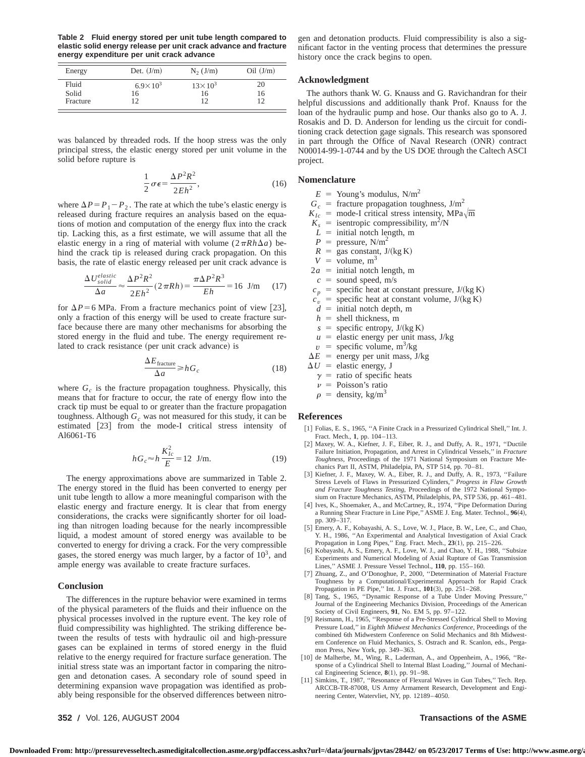**Table 2 Fluid energy stored per unit tube length compared to elastic solid energy release per unit crack advance and fracture energy expenditure per unit crack advance**

| Energy                     | Det. $(J/m)$              | $N_2$ (J/m)                    | $\text{Oil}$ (J/m) |
|----------------------------|---------------------------|--------------------------------|--------------------|
| Fluid<br>Solid<br>Fracture | $6.9 \times 10^{3}$<br>16 | $13 \times 10^{3}$<br>16<br>12 | 20<br>16<br>12     |

was balanced by threaded rods. If the hoop stress was the only principal stress, the elastic energy stored per unit volume in the solid before rupture is

$$
\frac{1}{2}\sigma\epsilon = \frac{\Delta P^2 R^2}{2Eh^2},\tag{16}
$$

where  $\Delta P = P_1 - P_2$ . The rate at which the tube's elastic energy is released during fracture requires an analysis based on the equations of motion and computation of the energy flux into the crack tip. Lacking this, as a first estimate, we will assume that all the elastic energy in a ring of material with volume  $(2 \pi R h \Delta a)$  behind the crack tip is released during crack propagation. On this basis, the rate of elastic energy released per unit crack advance is

$$
\frac{\Delta U_{solid}^{elastic}}{\Delta a} \approx \frac{\Delta P^2 R^2}{2Eh^2} (2\pi R h) = \frac{\pi \Delta P^2 R^3}{Eh} = 16 \text{ J/m} \quad (17)
$$

for  $\Delta P$ =6 MPa. From a fracture mechanics point of view [23], only a fraction of this energy will be used to create fracture surface because there are many other mechanisms for absorbing the stored energy in the fluid and tube. The energy requirement related to crack resistance (per unit crack advance) is

$$
\frac{\Delta E_{\text{fracture}}}{\Delta a} \ge h G_c \tag{18}
$$

where  $G_c$  is the fracture propagation toughness. Physically, this means that for fracture to occur, the rate of energy flow into the crack tip must be equal to or greater than the fracture propagation toughness. Although  $G_c$  was not measured for this study, it can be estimated [23] from the mode-I critical stress intensity of Al6061-T6

$$
hG_c \approx h \frac{K_{lc}^2}{E} = 12 \text{ J/m}.
$$
 (19)

The energy approximations above are summarized in Table 2. The energy stored in the fluid has been converted to energy per unit tube length to allow a more meaningful comparison with the elastic energy and fracture energy. It is clear that from energy considerations, the cracks were significantly shorter for oil loading than nitrogen loading because for the nearly incompressible liquid, a modest amount of stored energy was available to be converted to energy for driving a crack. For the very compressible gases, the stored energy was much larger, by a factor of  $10<sup>3</sup>$ , and ample energy was available to create fracture surfaces.

#### **Conclusion**

The differences in the rupture behavior were examined in terms of the physical parameters of the fluids and their influence on the physical processes involved in the rupture event. The key role of fluid compressibility was highlighted. The striking difference between the results of tests with hydraulic oil and high-pressure gases can be explained in terms of stored energy in the fluid relative to the energy required for fracture surface generation. The initial stress state was an important factor in comparing the nitrogen and detonation cases. A secondary role of sound speed in determining expansion wave propagation was identified as probably being responsible for the observed differences between nitrogen and detonation products. Fluid compressibility is also a significant factor in the venting process that determines the pressure history once the crack begins to open.

#### **Acknowledgment**

The authors thank W. G. Knauss and G. Ravichandran for their helpful discussions and additionally thank Prof. Knauss for the loan of the hydraulic pump and hose. Our thanks also go to A. J. Rosakis and D. D. Anderson for lending us the circuit for conditioning crack detection gage signals. This research was sponsored in part through the Office of Naval Research (ONR) contract N00014-99-1-0744 and by the US DOE through the Caltech ASCI project.

#### **Nomenclature**

 $E =$  Young's modulus, N/m<sup>2</sup>

- $G_c$  = fracture propagation toughness,  $J/m^2$
- $K_{Ic}$  = mode-I critical stress intensity, MPa $\sqrt{m}$
- $K_s$  = isentropic compressibility, m<sup>2</sup>/N
- $L =$  initial notch length, m
- $P =$  pressure, N/m<sup>2</sup>
- $R =$ gas constant, J/(kg K)
- $V =$  volume, m<sup>3</sup>
- $2a =$  initial notch length, m
- $c =$  sound speed, m/s
- $c_p$  = specific heat at constant pressure,  $J/(kg K)$
- $c_v$  = specific heat at constant volume, J/(kg K)
- $d =$  initial notch depth, m
- $h =$  shell thickness, m
- $s =$  specific entropy,  $J/(kg K)$
- $u =$  elastic energy per unit mass, J/kg
- $v =$  specific volume, m<sup>3</sup>/kg
- $\Delta E$  = energy per unit mass, J/kg
- $\Delta U$  = elastic energy, J
	- $\gamma$  = ratio of specific heats
	- $\nu$  = Poisson's ratio
	- $\rho$  = density, kg/m<sup>3</sup>

#### **References**

- [1] Folias, E. S., 1965, "A Finite Crack in a Pressurized Cylindrical Shell," Int. J. Fract. Mech., **1**, pp. 104–113.
- [2] Maxey, W. A., Kiefner, J. F., Eiber, R. J., and Duffy, A. R., 1971, "Ductile Failure Initiation, Propagation, and Arrest in Cylindrical Vessels,'' in *Fracture Toughness*, Proceedings of the 1971 National Symposium on Fracture Mechanics Part II, ASTM, Philadelpia, PA, STP 514, pp. 70–81.
- [3] Kiefner, J. F., Maxey, W. A., Eiber, R. J., and Duffy, A. R., 1973, "Failure Stress Levels of Flaws in Pressurized Cylinders,'' *Progress in Flaw Growth and Fracture Toughness Testing*, Proceedings of the 1972 National Symposium on Fracture Mechanics, ASTM, Philadelphis, PA, STP 536, pp. 461–481.
- [4] Ives, K., Shoemaker, A., and McCartney, R., 1974, "Pipe Deformation During a Running Shear Fracture in Line Pipe," ASME J. Eng. Mater. Technol., **96**(4), pp. 309–317.
- [5] Emery, A. F., Kobayashi, A. S., Love, W. J., Place, B. W., Lee, C., and Chao, Y. H., 1986, "An Experimental and Analytical Investigation of Axial Crack
- Propagation in Long Pipes," Eng. Fract. Mech., 23(1), pp. 215–226.<br>[6] Kobayashi, A. S., Emery, A. F., Love, W. J., and Chao, Y. H., 1988, "Subsize Experiments and Numerical Modeling of Axial Rupture of Gas Transmission Lines," ASME J. Pressure Vessel Technol., 110, pp. 155–160.<br>[7] Zhuang, Z., and O'Donoghue, P., 2000, "Determination of Material Fracture
- Toughness by a Computational/Experimental Approach for Rapid Crack<br>Propagation in PE Pipe," Int. J. Fract., 101(3), pp. 251–268.
- [8] Tang, S., 1965, "Dynamic Response of a Tube Under Moving Pressure," Journal of the Engineering Mechanics Division, Proceedings of the American
- Society of Civil Engineers, 91, No. EM 5, pp. 97–122.<br>[9] Reismann, H., 1965, "Response of a Pre-Stressed Cylindrical Shell to Moving Pressure Load,'' in *Eighth Midwest Mechanics Conference*, Proceedings of the combined 6th Midwestern Conference on Solid Mechanics and 8th Midwestern Conference on Fluid Mechanics, S. Ostrach and R. Scanlon, eds., Pergamon Press, New York, pp. 349–363.
- [10] de Malherbe, M., Wing, R., Laderman, A., and Oppenheim, A., 1966, "Response of a Cylindrical Shell to Internal Blast Loading,'' Journal of Mechanical Engineering Science, 8(1), pp. 91-98.
- [11] Simkins, T., 1987, "Resonance of Flexural Waves in Gun Tubes," Tech. Rep. ARCCB-TR-87008, US Army Armament Research, Development and Engineering Center, Watervliet, NY, pp. 12189–4050.

**352 Õ** Vol. 126, AUGUST 2004 **Transactions of the ASME**